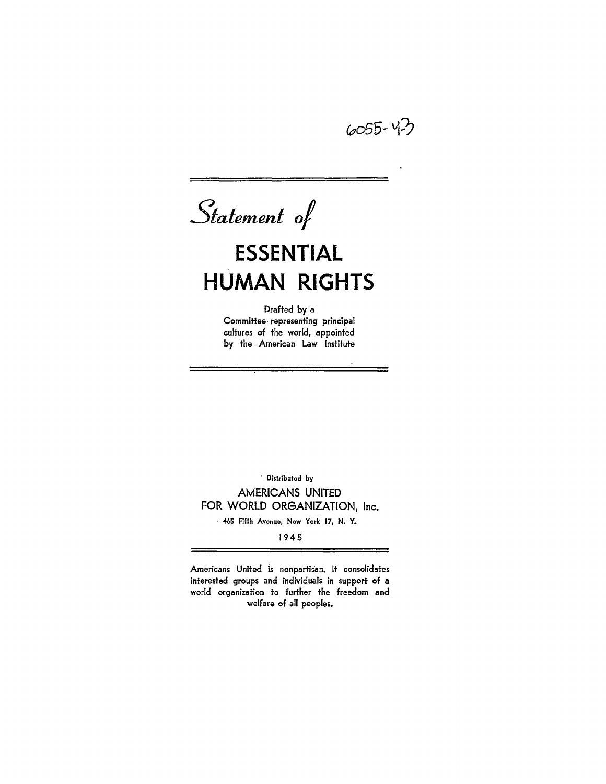$6055 - 43$ 

Statement of

# **ESSENTIAL HUMAN RIGHTS**

Drafted **by** a Committee representing principal cultures of the world, appointed **by** the American Law Institute

**.** DisfFibuted **by AMERICANS UNITED** FOR WORLD **ORGANIZATION,** Inc.

465 Fifth Avenue, **New** York **17, N.** Y.

1945

Americans United **is** nonpartisan. **It** consolidates interested groups and individuals in support of a world organization to further the freedom and welfare .of all peoples.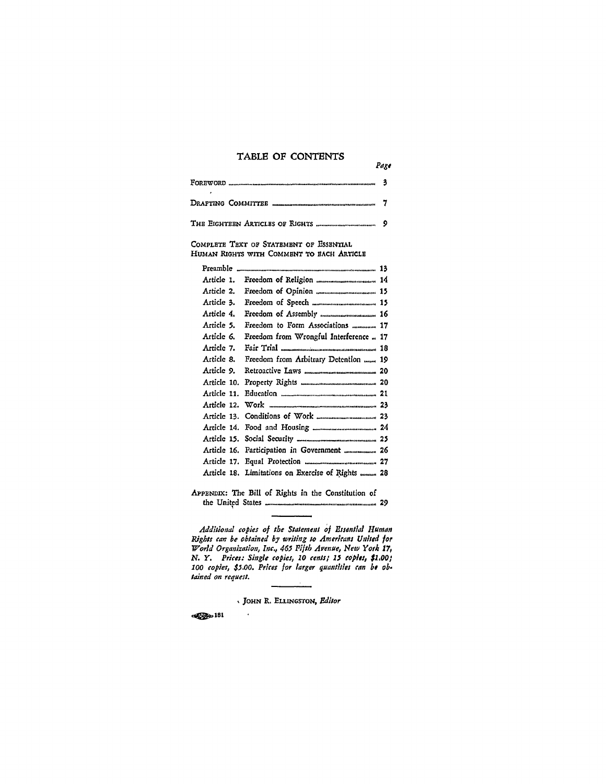# TABLE OF CONTENTS

|             |                                                                                      | Page |
|-------------|--------------------------------------------------------------------------------------|------|
|             |                                                                                      | 3    |
|             |                                                                                      | 7    |
|             |                                                                                      | 9    |
|             | COMPLETE TEXT OF STATEMENT OF ESSENTIAL<br>HUMAN RIGHTS WITH COMMENT TO BACH ARTICLE |      |
|             |                                                                                      |      |
|             |                                                                                      |      |
|             |                                                                                      |      |
|             |                                                                                      |      |
|             |                                                                                      |      |
|             | Article 5. Freedom to Form Associations  17                                          |      |
|             | Article 6. Freedom from Wrongful Interference  17                                    |      |
|             |                                                                                      |      |
|             | Article 8. Freedom from Arbitrary Detention  19                                      |      |
| Article 9.  |                                                                                      |      |
|             |                                                                                      |      |
| Article 11. |                                                                                      |      |
|             |                                                                                      |      |
|             |                                                                                      |      |
|             |                                                                                      |      |
|             |                                                                                      |      |
|             |                                                                                      |      |
|             |                                                                                      |      |
|             | Article 18. Limitations on Exercise of Rights  28                                    |      |

**APPENDIX:** The Bill of Rights in the Constitution of the United States *...* **29**

*Additional copies of the Statement of EsentaI Human Rights can be obtained by* writing *to* Americans *Unted for World Organization, Inc., 463 Fifth Avenue, New York 17, N. Y. Prices: Single copies, 10 cents; 1i copies, \$1.00; 100 copies \$3.00. Prices for larger quanttilej can be ob. taned on request.*

**JOHN** R. **ELLINGSTOI,** *Editor*

**181**

 $\mathbf{r}$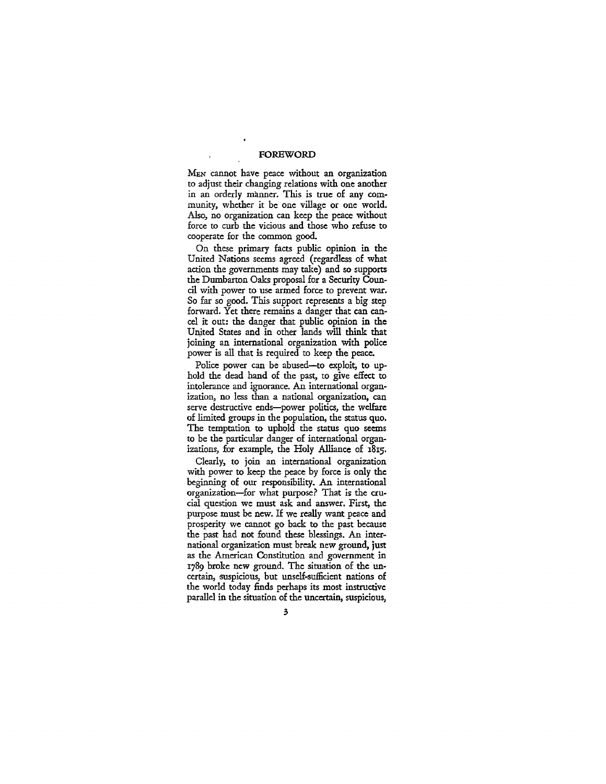#### FOREWORD

**MEN** cannot have peace without an organization to adjust their changing relations with one another in an orderly manner. This is true of any community, whether it be one village or one world. Also, no organization can keep the peace without force to curb the vicious and those who refuse to cooperate for the common good.

On these primary facts public opinion in the United Nations seems agreed (regardless of what action the governments may take) and so supports the Dumbarton Oaks proposal for a Security Coun**cil** with power to use armed force to prevent war. So far so good. This support represents a big step forward. Yet there remains a danger that can cancel it out: the danger that public opinion in the United States and in other lands will think that joining an international organization with police power is all that is required to keep the peace.

Police power can be abused-to exploit, to uphold the dead hand of the past, to give effect to intolerance and ignorance. An international organization, no less than a national organization, can serve destructive ends-power politics, the welfare of limited groups in the population, the status quo. The temptation to uphold the status quo seems to be the particular danger of international organizations, for example, the Holy Alliance of *18i5.*

Clearly, to join an international organization with power to keep the peace by force is only the beginning of our responsibility. An international organization-for what purpose? That is the crucial question we must ask and answer. First, the purpose must be new. If we really want peace and prosperity we cannot go back to the past because the past had not found these blessings. An international organization must break new ground, just as the American Constitution and government in **1789** broke new ground. The situation of the uncertain, suspicious, but unself-sufficient nations of the world today finds perhaps its most instructive parallel in the situation of the uncertain, suspicious,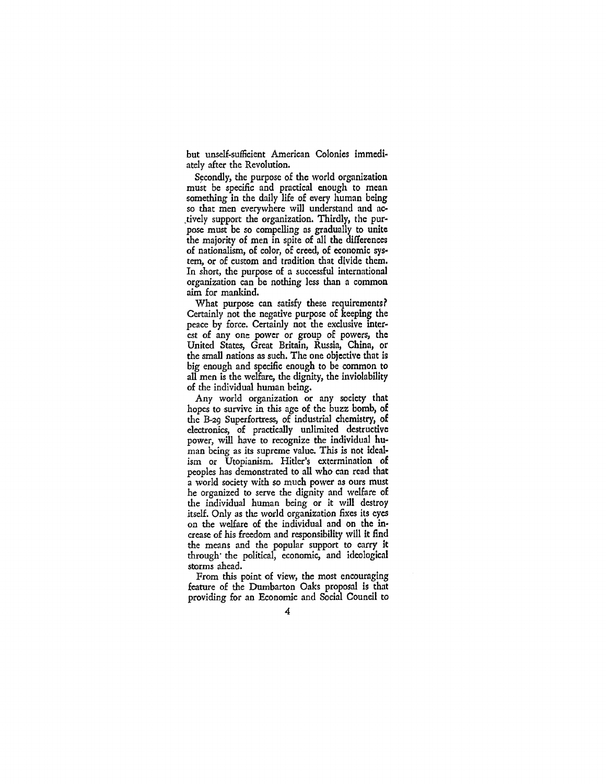but unself-sufficient American Colonies immediately after the Revolution.

Secondly, the purpose of the world organization must be specific and practical enough to mean something in the daily life of every human being so that men everywhere will understand and ac- .tively support the organization. Thirdly, **the** purpose must be so compelling as gradually to unite the majority of men in spite of all the differences of nationalism, of color, of creed, of economic system, or of custom and tradition that divide them. In short, the purpose of a successful international organization can be nothing less than a common aim for mankind.

What purpose can satisfy these requirements? Certainly not the negative purpose of keeping the peace by force. Certainly not the exclusive interest of any one power or group of powers, the United States, Great Britain, Russia, China, or the small nations as such. The one objective that is big enough and specific enough to be common to all men is the welfare, the dignity, the inviolability of the individual human being.

Any world organization or any society that hopes to survive in this age of the buzz bomb, of the B-29 Superfortress, of industrial chemistry, of electronics, of practically unlimited destructive power, will have to recognize the individual human being as its supreme value. This is not idealism or Utopianism. Hitler's extermination of peoples has demonstrated to all who can read that a world society with so much power as ours must be organized to serve the dignity and welfare of the individual human being or it will destroy itself. Only as the world organization fixes its eyes on the welfare of the individual and on the increase of his freedom and responsibility will it find the means and the popular support to carry it through- the political, economic, and ideological storms ahead.

From this point of view, the most encouraging feature of the Dumbarton Oaks proposal is that providing for an Economic and Social Council to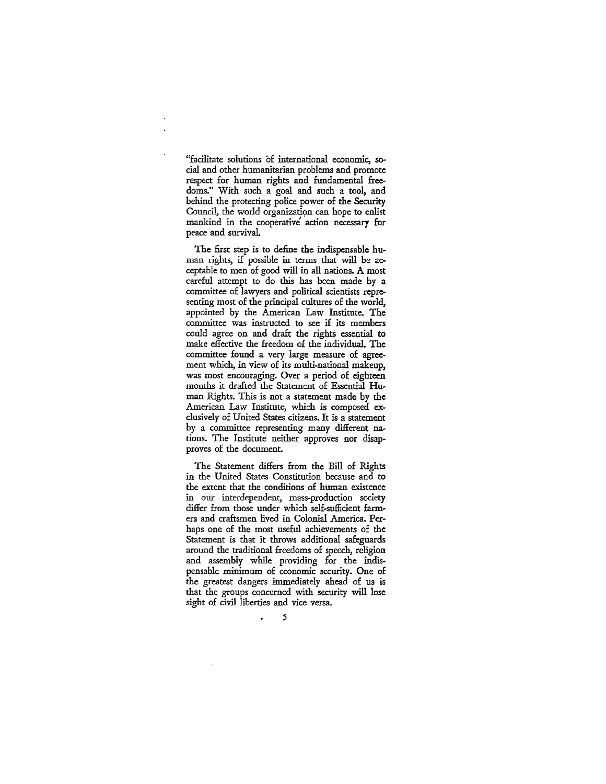"facilitate solutions **bf** international economic, social and other humanitarian problems and promote respect for human rights and fundamental freedoms." With such a goal and such a tool, and behind the protecting police power of the Security Council, the world organizatign **can** hope to enlist mankind in the cooperative action necessary for peace and survival.

The first step is to define the indispensable human rights, if possible in terms that will be acceptable to men of good will in all nations. **A** most careful attempt to do this has been made **by** a committee of lawyers and political scientists representing most of the principal cultures of the world, appointed **by** the American Law Institute. The committee was instructed to see if its members could agree on and draft the rights essential to make effective the freedom of the individual. The committee found a very large measure of agreement which, in view of its multi-national makeup, was most encouraging. Over a period of eighteen months it drafted the Statement of Essential Human Rights. This is not a statement made **by** the American Law Institute, which is composed exclusively of United States citizens. It is a statement **by** a committee representing many different nations. The Institute neither approves nor disapproves of the document.

The Statement differs from the Bill of Rights in the United States Constitution because and to the extent that the conditions of human existence in our interdependent, mass-production society differ from those under which self-sufficient farmers and craftsmen lived in Colonial America. Perhaps one of the most useful achievements of the Statement is that it throws additional safeguards around the traditional freedoms of speech, religion and assembly while providing for the indispensable minimum of economic security. One of the greatest dangers immediately ahead of **us** is that the groups concerned with security will lose sight of civil liberties and vice versa.

*5*

 $\ddot{\phantom{a}}$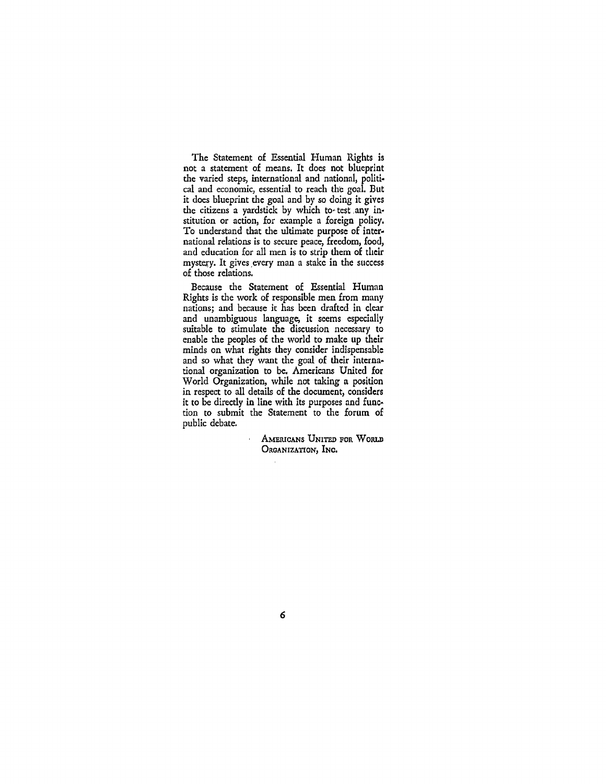The Statement of Essential Human Rights is not a statement of means. It does not blueprint the varied steps, international and national, political and economic, essential to reach the goal. But it does blueprint the goal and by so doing it gives the citizens a yardstick by which to-test ,any institution or action, for example a foreign policy. To understand that the ultimate purpose of international relations is to secure peace, freedom, food, and education for all men is to strip them of their mystery. It gives every man a stake in the success of those relations.

Because the Statement of Essential Human Rights is the work of responsible men from many nations; and because it has been drafted in clear and unambiguous language, it seems especially suitable to stimulate the discussion necessary to enable the peoples of the world to make up their minds on what rights they consider indispensable and so what they want the goal of their international organization to be. Americans United for World Organization, while not taking a position in respect to all details of the document, considers it to be directly in line with its purposes and function to submit the Statement to the forum of public debate.

> **AMERICANS UNITED FOR WORLD ORGANIZATION,** INC.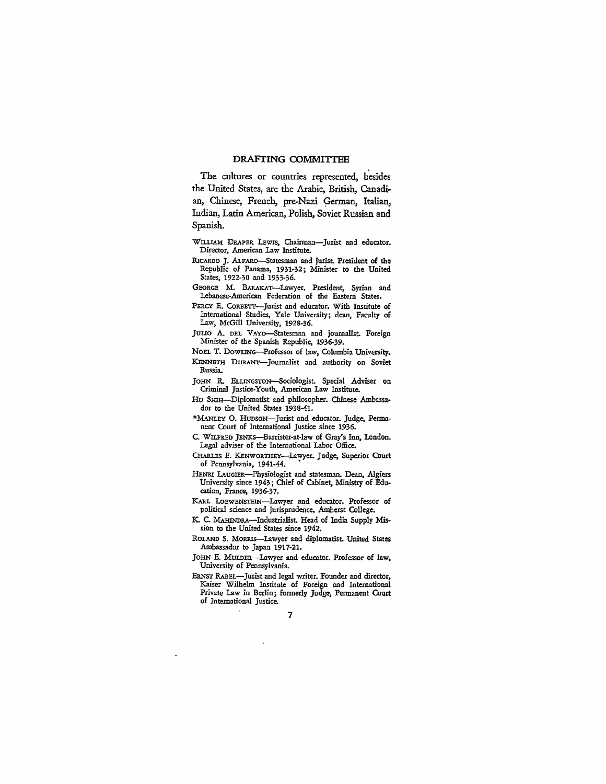#### DRAFTING COMMITTEE

The cultures or countries represented, besides the United States, are the Arabic, British, Canadian, Chinese, French, pre-Nazi German, Italian, Indian, Latin American, Polish, Soviet Russian and Spanish.

- WILLIAM DRAPER LEWIS, Chairman-Jurist and educator. Director, American Law Institute.
- RICARDO J. ALFARO-Statesman and jurist. President of the Republic of Panama, 1931-32; Minister to the United States, 1922-30 and 1933-36.
- GEORGE M. BARAKAT-Lawyer. President, Syrian and Lebanese-American Federation of the Eastern States.
- PERCY E. CORBETT--Jurist and educator. With Institute of International Studies, Yale University; dean, Faculty of Law, McGill University, 1928-36.
- Juuo A. **DEL** VAYo-Statesman and journalist. Foreign Minister of the Spanish Republic, 1936-39.
- NOEL T. DOWLING-Professor of law, Columbia University. KENNETH DURANT-Journalist and authority on Soviet Russia.
- JOHN R. ELLINGSTON-Sociologist. Special Adviser on Criminal Justice-Youth, American Law Institute.

Hu SHIH-Diplomatist and philosopher. Chinese Ambassador to the United States 1938-41.

- \*MAN1LEY **0.** HUDSON-JUriSt and educator. Judge, Permanent Court of International Justice since **1936.**
- C. WILFRED JENKS-Barrister-at-law of Gray's Inn, London. Legal adviser of the International Labor Office.
- CHARLES E. KENWORTHEY-Lawyer. Judge, Superior Court of Pennsylvania, 1941-44.
- **HENi** LAuGIER-Physiologist and statesman. Dean, Algiers University since 1943; Chief of Cabinet, Ministry of Education, France, 1936-37.
- KARL LOEWENSTEIN-Lawyer and educator. Professor of political science and jurisprudence, Amherst College.
- K. C. MAHINDRA-Industrialist. Head of India Supply Mission to the United States since 1942.
- **ROLAND S.** MoReus-Lawyer and diplomatist. United States Ambassador to Japan **1917-21.**
- JOHN E. MULDER-Lawyer and educator. Professor of law, University of Pennsylvania.
- ERNsr RABL-Jurist and legal writer. Founder and director, Kaiser Wilhelm Institute of Foreign and International Private Law in Berlin; formerly Judge, Permanent Court of International Justice.
	- 7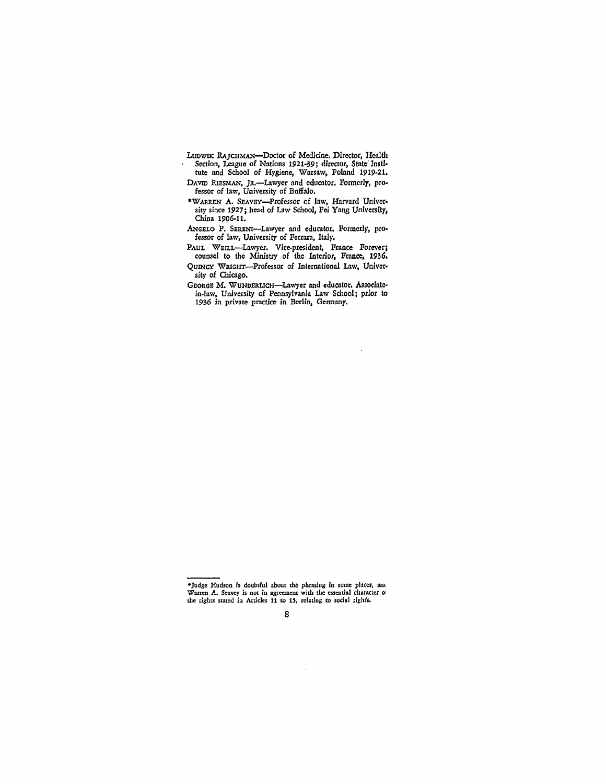- Ludwik Rajchman—Doctor of Medicine. Director, Health Section, League of Nations **1921-39;** director, State Instl, tate and School of Hygiene, Warsaw, Poland **1919-21.**
- DAVID RIESMAN, JR.-Lawyer and educator. Formerly, professor of law, University of Buffalo.
- *\*WmuN* **A.** SEAvY-Professor of law, Harvard University since **1927;** head of Law School, Pei Yang Universlt,, China 1906-11.
- *ANGELo* P. SEREN-Lawyer and educator. Formerly, professor of law, University of Ferrara, Italy.
- PAUL WEILL-Lawyer. Vice-president, France Forever counsel to the Ministry of the Interior, France, **1936.** QUINCY WRIGHT-Professor of International Law, Univer
	- sity of Chicago.
- GEORGE M. WUNDERLICH-Lawyer and educator. Associatein-law, University **of** Pennsylvania Law School; prior to 1936 in private practice in Berlin, Germany.

<sup>\*</sup>Judge Hudson is doubtful about the phrasing **In** some places, ant Warren **A.** Seavey is not in agreemco with the **essential** chatacter **o** the rights stated in Articles **11** to **15.** relating to social **slghts.**

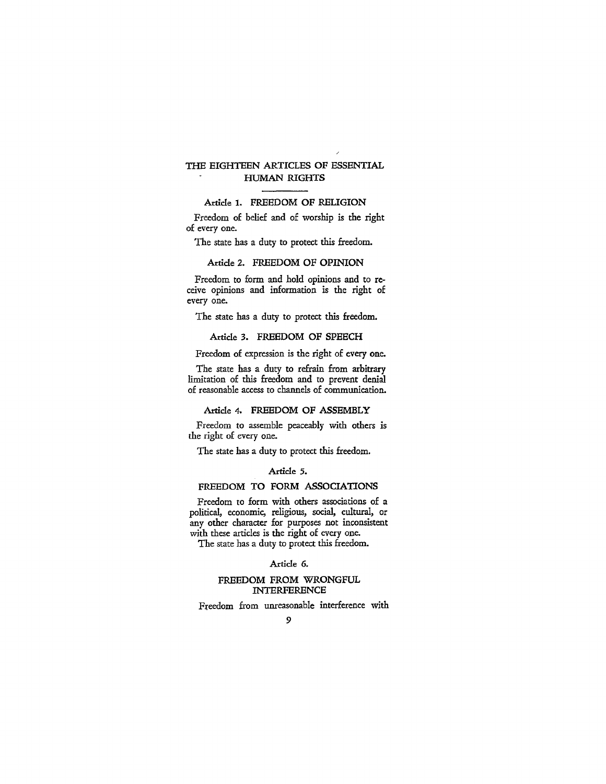# **THE** EIGHTEEN ARTICLES OF **ESSENTIAL** HUMAN RIGHTS

# Article **1.** FREEDOM OF RELIGION

Freedom of belief and of worship is the right of every one.

The state has a duty to protect this freedom.

# Article 2. FREEDOM OF OPINION

Freedom to form and hold opinions and to receive opinions and information is the right of every one.

The state has a duty to protect this freedom.

# Article 3. FREEDOM OF SPEECH

Freedom of expression is the right of every one.

The state has a duty to refrain from arbitrary limitation of this freedom and to prevent denial of reasonable access to channels of communication.

# Article 4. FREEDOM OF ASSEMBLY

Freedom to assemble peaceably with others is the right of every one.

The state has a duty to protect this freedom.

## Article **5.**

#### FREEDOM TO FORM ASSOCIATIONS

Freedom to form with others associations of a political, economic, religious, social, cultural, or any other character for purposes not inconsistent with these articles is the right of every one.

The state has a duty to protect this freedom.

## Article **6.**

# FREEDOM FROM WRONGFUL INTERFERENCE

Freedom from unreasonable interference with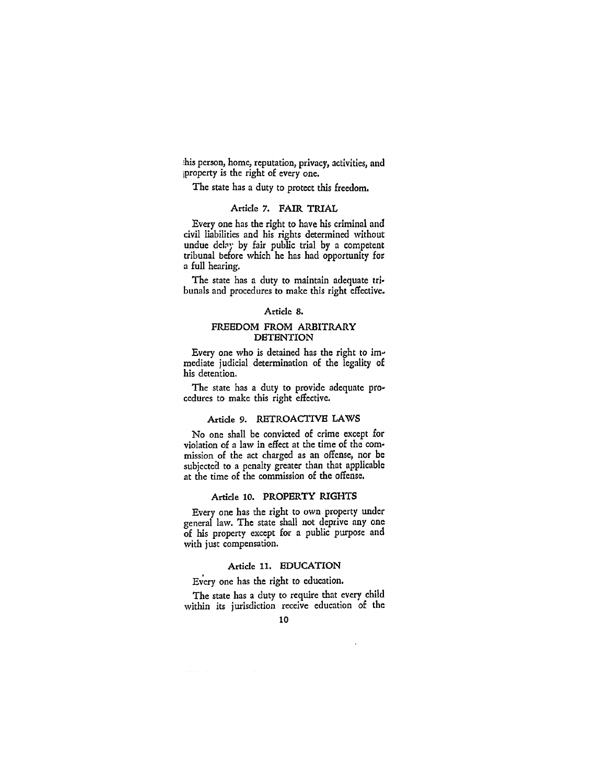**his** person, home, reputation, privacy, activities, and ,property is the right of every one.

The state has a duty to protect this freedom.

# Article **7.** FAIR TRIAL

Every one has the right to have his criminal and civil liabilities and his rights determined without undue deh'y **by** fair public trial **by** a competent tribunal before which he has had opportunity for a full hearing.

The state has a duty to maintain adequate tribunals and procedures to make this right effective.

#### Article **8.**

#### FREEDOM FROM ARBITRARY **DETENTION**

Every one who is detained has the right to immediate judicial determination of the legality of his detention.

The state has a duty to provide adequate procedures to make this right effective.

# Article **9.** RETROACTIVE LAWS

No one shall be convicted of crime except for violation of a law in effect at the time of the commission of the act charged as an offense, nor be subjected to a penalty greater than that applicable at the time of the commission of the offense.

# Article **10.** PROPERTY RIGHTS

Every one has the right to own property under general law. The state shall not deprive any one of his property except for a public purpose and with just compensation.

## Article **11. EDUCATION**

Every one has the right to education.

The state has a duty to require that every child within its jurisdiction receive education of the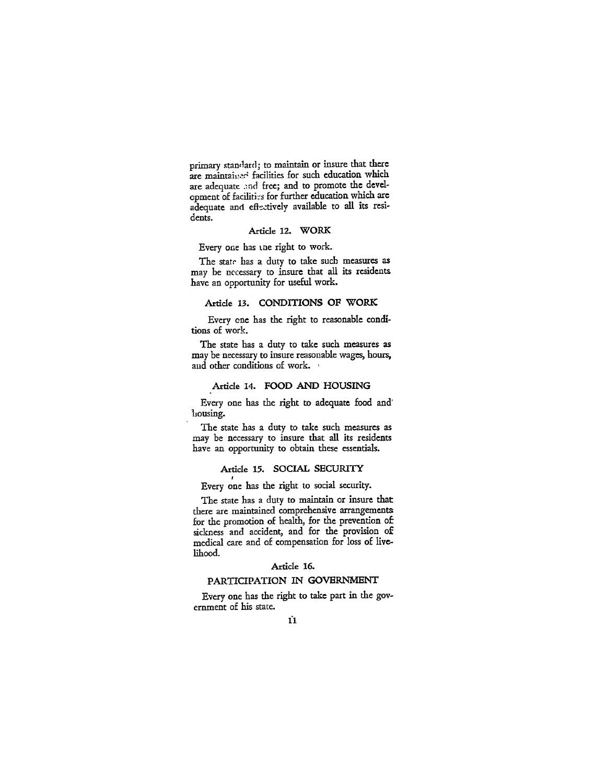primary standard; to maintain or insure that there are maintained facilities for such education which are adequate and free; and to promote the development of faciliirs for further education which are adequate and effectively available to all its residents.

# Article 12. WORK

Every one has the right to work.

The statr has a duty to take such measures as may be necessary to insure that all its residents have an opportunity for useful work.

# Article 13. CONDITIONS OF WORK

Every one has the right to reasonable conditions of work.

The state has a duty to take such measures as may be necessary to insure reasonable wages, hours, and other conditions of work.

# Article 14. FOOD **AND** HOUSING

Every one has the right to adequate food and' housing.

The state has a duty to take such measures as may be necessary to insure that all **its** residents have an opportunity to obtain these essentials.

# Article *15.* **SOCIAL** SECURITY **I**

Every one has the right to social security.

The state has a duty to maintain or insure that there are maintained comprehensive arrangements for the promotion of health, for the prevention of sickness and accident, and for the provision of medical care and of compensation for loss of livelihood.

# **Article 16.**

# PARTICIPATION **IN** GOVERNMENT

Every one has the right to take part in the government of his state.

 $\mathbf{11}$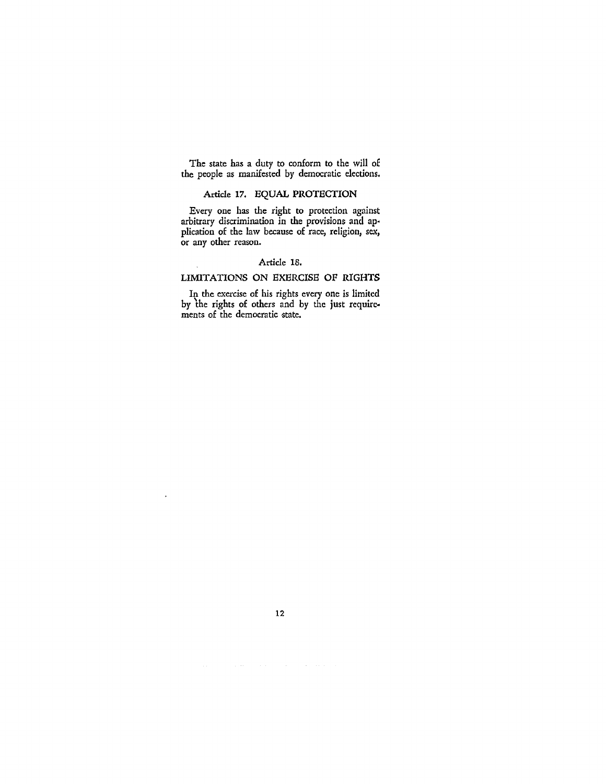The state has a duty to conform to the will of the people as manifested by democratic elections.

# Article **17. EQUAL** PROTECTION

Every one has the right to protection against arbitrary discrimination in the provisions and ap. plication of the law because of race, religion, sex, or any other reason.

# Article 18.

# LIMITATIONS ON EXERCISE OF RIGHTS

In the exercise of his rights every one is limited by the rights of others and by the just requirements of the democratic state.

 $\lambda$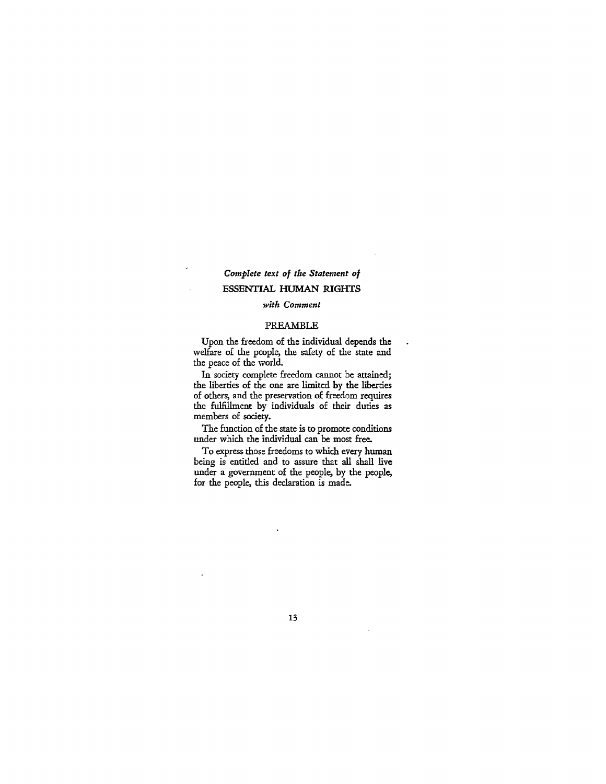# *Complete text of the Statement of* **ESSENTIAL** *HUMAN* RIGHTS

# *with Comment*

# *PREAMBLE*

Upon the freedom of the individual depends the welfare of the people, the safety of the state and the peace of the world.

In society complete freedom cannot be attained; the liberties of the one are limited **by** the liberties of others, and the preservation of freedom requires the fulfillment by individuals of their duties as members of society.

The function of the state is to promote conditions under which the individual can be most free.

To express those freedoms to which every human being is entitled and to assure that all shall live under a government of the people, by the people, for the people, this declaration is made.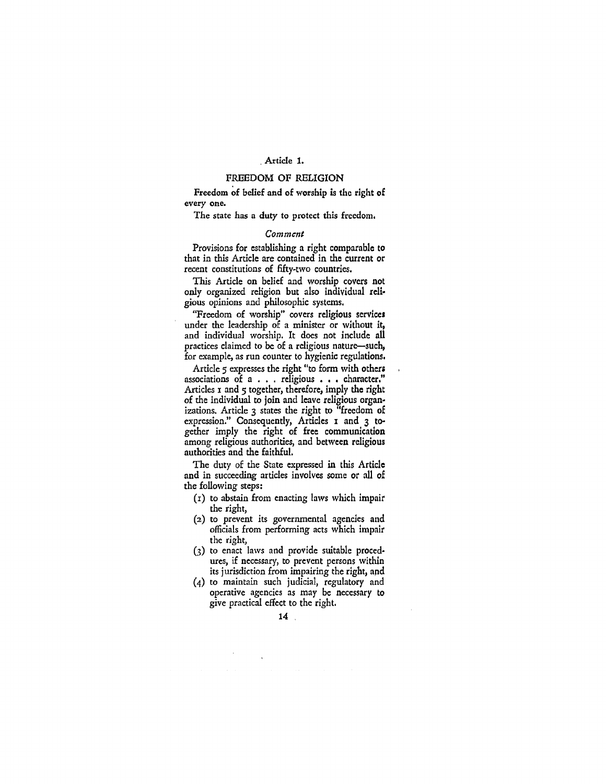# Article **1.**

#### FREEDOM OF RELIGION

Freedom **of** belief and of worship is the right of every one.

The state has a duty to protect this freedom.

#### **Comment**

Provisions for establishing a right comparable to that in this Article are contained in the current or recent constitutions of fifty-two countries.

This Article on belief and worship covers not only organized religion but also individual religious opinions and philosophic systems.

"Freedom of worship" covers reigious services under the leadership of a minister or without it, and individual worship. It does not include all practices claimed to **be** of a religious nature-such, for example, as run counter to hygienic regulations.

Article **5** expresses the right "to form with others associations of a **. . .** religious **.. .** character." Articles **x** and **5** together, therefore, imply the right of the individual to join and leave religious organizations. Article **3** states the right to "freedom of expression." Consequently, Articles **x** and **3** together imply the right of free communication among religious authorities, and between religious authorities and the faithful.

The duty of the State expressed in this Article and in succeeding articles involves some or all of the following steps:

- **(r)** to abstain from enacting laws which impair the right,
- **(2) to** prevent its governmental agencies and officials from performing acts which **impair** the right,
- **(3)** to enact laws and provide suitable **proced**ures, if necessary, to prevent persons within its jurisdiction from impairing the right, **and**
- **(4)** to maintain such judicial, regulatory and operative agencies as may **be** necessary to give practical effect to the right.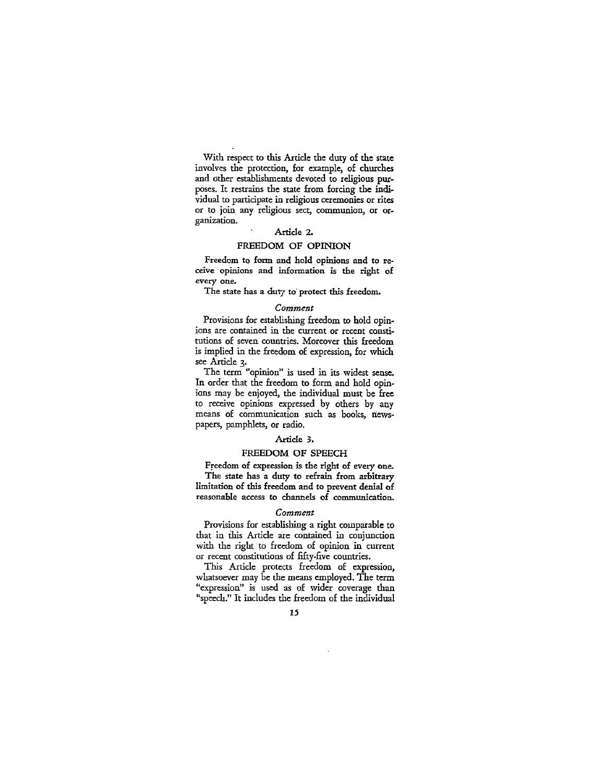With respect to this Article the duty of the state involves the protection, for example, of churches and other establishments devoted to religious purposes. It restrains the state from forcing the individual to participate in religious ceremonies or rites or to join any religious sect, communion, or organization.

# *Article* **2.**

# FREEDOM OF OPINION

Freedom to form and hold opinions and to receive opinions and information is the right of every one.

The state has a duty to protect this freedom.

#### *Comment*

Provisions for establishing freedom to hold opinions are contained in the current or recent constitutions of seven countries. Moreover this freedom is implied in the freedom of expression, for which see Article **3.**

The term "opinion" is used in its widest sense. In order that the freedom to form and hold opinions may be enjoyed, the individual must be free to receive opinions expressed by others **by** any means of communication such as books, newspapers, pamphlets, or radio.

#### Article **3.**

#### **FREEDOM OF SPEECH**

Freedom of expression is the right of every one. The state has a duty to refrain from arbitrary limitation of this freedom and to prevent denial of reasonable access to channels of communication.

#### *Comment*

Provisions for establishing a right comparable to that in ihis Article are contained in conjunction with the right to freedom of opinion in current or recent constitutions of fifty-five countries.

This Article protects freedom of expression, whatsoever may **be** the means employed. The term "expression" is used as of wider coverage than "speech." It includes the freedom of the individual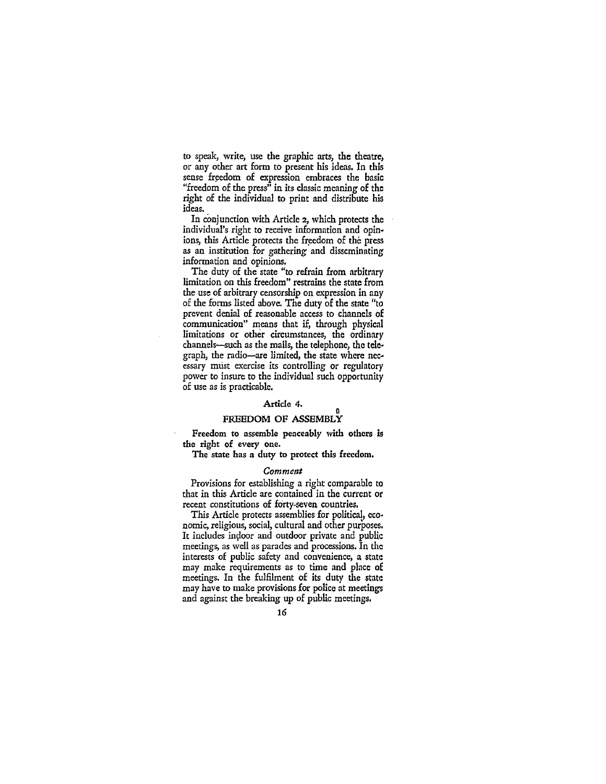to speak, write, use the graphic arts, the theatre, or any other art form to present his ideas. In this sense freedom of expression embraces the basic "freedom of the press" in its dassic meaning of the right of the individual to print and distribute his ideas.

In conjunction with Article 2, which protects the individual's right to receive information and opinions, this Article protects the freedom of the press as an institution for gathering and disseminating information and opinions.

The duty of the state "to refrain from arbitrary limitation on this freedom" restrains the state from the use of arbitrary censorship on expression in any of the forms listed above. The duty of the state "to prevent denial of reasonable access to channels of communication" means that if, through physical limitations or other circumstances, the ordinary channels-such as the mails, the telephone, the telegraph, the radio-are limited, the state where necessary must exercise its controlling or regulatory power to insure to the individual such opportunity of use as is practicable.

# Article 4.

# FREEDOM OF ASSEMBLY

Freedom to assemble peaceably with others is the right of every one.

The state has a duty to protect this freedom.

#### Comment

Provisions for establishing a right comparable to that in this Article are contained in the current or recent constitutions of forty-seven countries,

This Article protects assemblies for political, eco. nomic, religious, social, cultural and other purposes. It includes indoor and outdoor private and public meetings, as well as parades and processions. In the interests of public safety and convenience, a state may make requirements as to time and place of meetings. In the fulfilment of its duty the state may have to make provisions for police at meetings and against the breaking up of public meetings,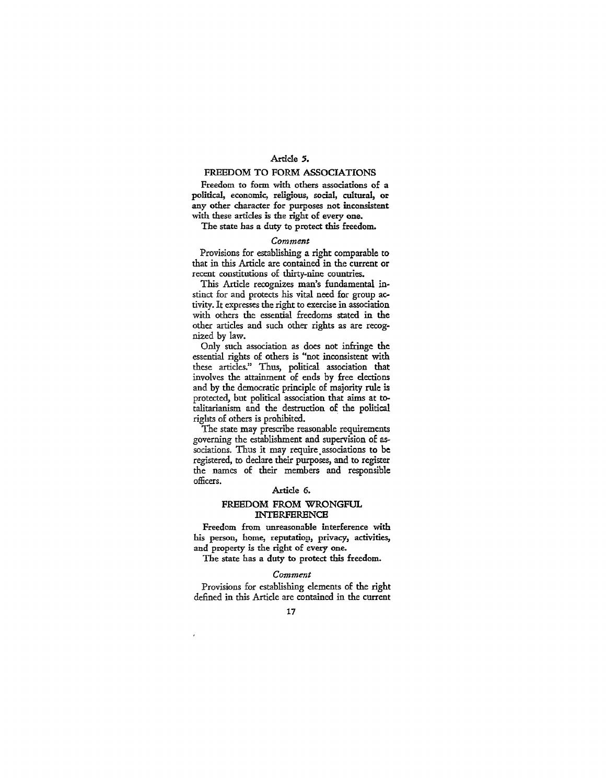# Article **5.**

# FREEDOM TO FORM ASSOCIATIONS

Freedom to form with others associations of a political, economic, religious, social, cultural, or any other character for purposes not inconsistent with these artides is the right of every one.

The state has a duty to protect this freedom.

#### *Comment*

Provisions for establishing a right comparable to that in this Article are contained in the current or recent constitutions of thirty-nine countries.

This Article recognizes man's fundamental instinct for and protects his vital need for group activity. It expresses the right to exercise in association with others the essential freedoms stated in the other articles and such other rights as are recognized by law.

Only such association as does not infringe the essential rights of others is "not inconsistent with these articles." Thus, political association that involves the attainment of ends by free elections and by the democratic principle of majority rule is protected, but political association that aims at totalitarianism and the destruction of the political rights of others is prohibited.

The state may prescribe reasonable requirements governing the establishment and supervision of associations. Thus it may require associations to be registered, to declare their purposes, and to register the names of their members and responsible officers.

# Article **6.**

#### FREEDOM FROM WRONGFUL INTERFERENCE

Freedom from unreasonable interference with his person, home, reputation, privacy, activities, and property is the right of every one.

The state has a duty to protect this freedom.

# *Comment*

Provisions for establishing elements of the right defined in this Article are contained in the current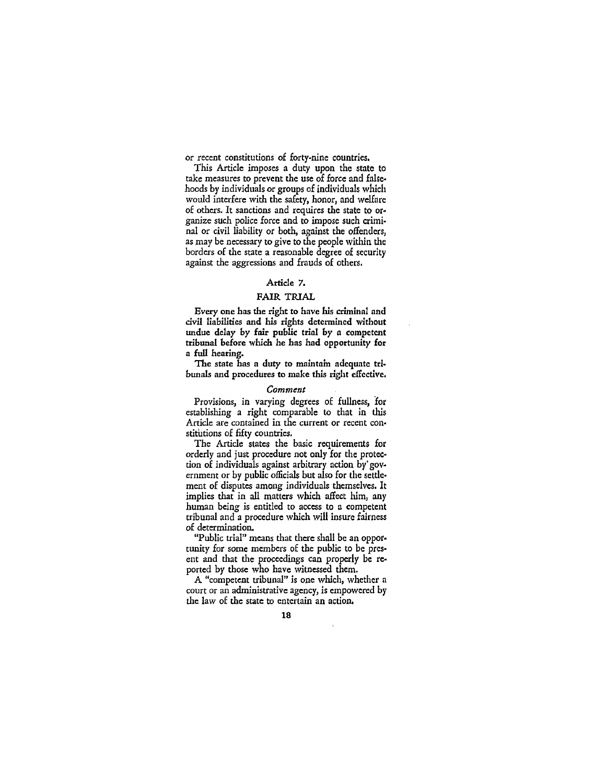or recent constitutions of forty-nine countries.

This Article imposes a duty upon the state to take measures to prevent the use of force and false. hoods by individuals or groups of individuals which would interfere with the safety, honor, and welfare of others. It sanctions and requires the state to **or**ganize such police force and to impose such criminal or civil liability or both, against the offenders, as may be necessary to give to the people within the borders of the state a reasonable degree of security against the aggressions and frauds of others.

# Article **7.**

# FAIR TRIAL

Every one has the right to have his criminal and civil liabilities and his rights determined without undue delay by fair public trial by **a** competent tribunal before which he has had opportunity for a full hearing.

The state has a duty to maintain adequate tribunals and procedures to make this right effective.

#### *Comment*

Provisions, in varying degrees of fullness, for establishing a right comparable to that in this Article are contained in the current or recent constitutions of fifty countries.

The Article states the basic requirements for orderly and just procedure not only for the protection of individuals against arbitrary action by'government or by public officials but also for the settlement of disputes among individuals themselves. It implies that in all matters which affect him, any human being is entitled to access to a competent tribunal and a procedure which will insure fairness of determination.

"Public trial" means that there shall be an opportunity for some members of the public to be present and that the proceedings can properly be reported by those who have witnessed them.

A "competent tribunal" is one which, whether a court or an administrative agency, is empowered by the law of the state to entertain an action,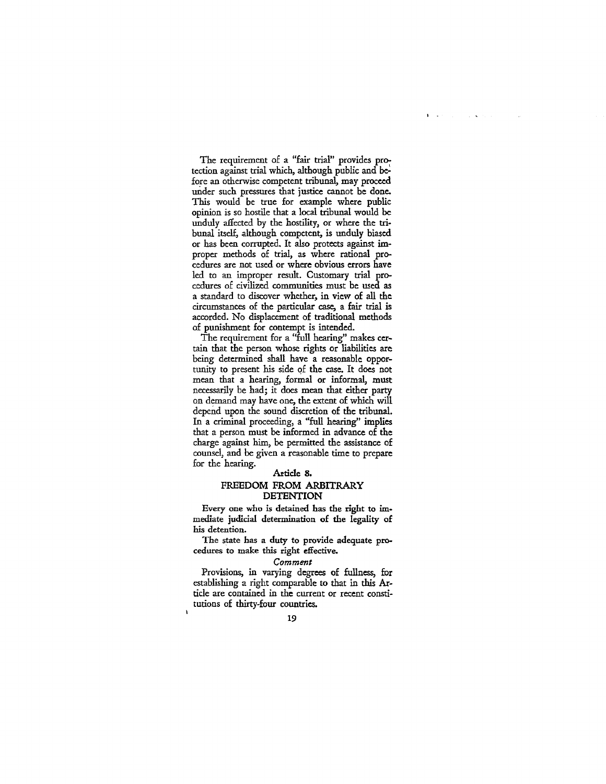The requirement of a "fair trial" provides protection against trial which, although public and before an otherwise competent tribunal, may proceed under such pressures that justice cannot be done. This would be true for example where public opinion is so hostile that a local tribunal would be unduly affected by the hostility, or where the tribunal itself, although competent, is unduly biased or has been corrupted. It also protects against improper methods of trial, as where rational procedures are not used or where obvious errors have led to an improper result. Customary trial procedures of civilized communities must be used as a standard to discover whether, in view of all the circumstances of the particular case, a fair trial is accorded. No displacement of traditional methods of punishment for contempt is intended.

 $\mathbf{Y} = \mathbf{X}^{-1}$ 

**Contractor** 

The requirement for a "full hearing" makes certain that the person whose rights or liabilities are being determined shall have a reasonable opportunity to present his side **of** the case. It does not mean that a hearing, formal or informal, must necessarily be had; it does mean that either party on demand may have one, the extent of which will depend upon the sound discretion of the tribunal. In a criminal proceeding, a "full hearing" implies that a person must be informed in advance of the charge against him, be permitted the assistance of counsel, and be given a reasonable time to prepare for the hearing.

# **Article 8.** FREEDOM FROM ARBITRARY **DETENTION**

**Every one who is** detained has **the right to im.** mediate judicial determination **of** the legality **of** his detention.

**The** state has a duty **to provide** adequate procedures **to** make this right effective.

## *Comment*

Provisions, in varying degrees of fullness, for establishing a right comparable to that in this Article are contained in the current or recent constitutions of thirty-four countries.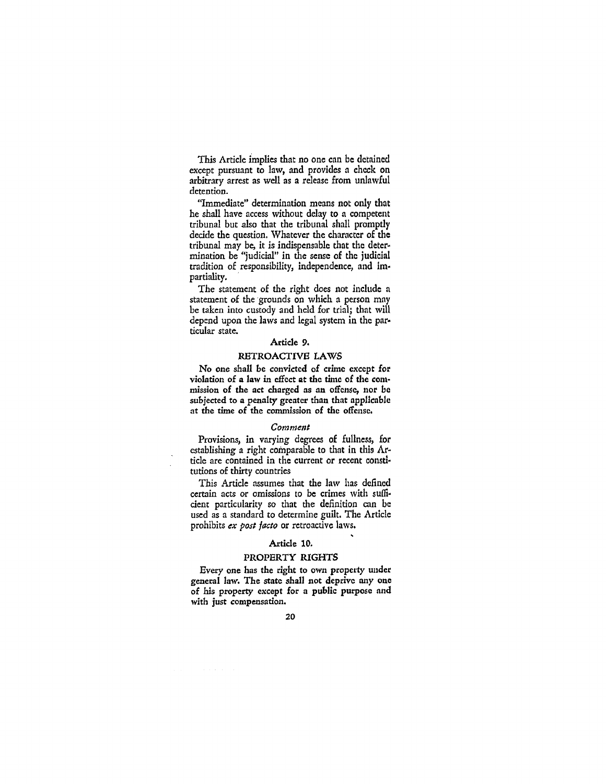This Article implies that no one can be detained except pursuant to law, and provides a check on arbitrary arrest as well as a release from unlawful detention.

"Immediate" determination means not only that he shall have access without delay to a competent tribunal but also that the tribunal shall promptly decide the question. Whatever the character of the tribunal may be, it is indispensable that the determination be "judicial" in the sense of the judicial tradition of responsibility, independence, and impartiality.

The statement of the right does not include a statement of the grounds on which a person may be taken into custody and held for trial; that will depend upon the laws and legal system in the particular state.

#### Article 9.

#### RETROACTIVE LAWS

No one shall be convicted of crime except for violation of a law in effect at the time of the commission of the act charged as an offense, nor be subjected to a penalty greater than that applicable at the time of the commission of the offense.

# Comment

Provisions, in varying degrees of fullness, for establishing a right comparable to that in this Article are contained in the current or recent constitutions of thirty countries

This Article assumes that the law has defined certain acts or omissions to be crimes with suflicient particularity so that the definition can be used as a standard to determine guilt. The Article prohibits *ex post facto* or retroactive laws.

#### Article **10.**

#### PROPERTY RIGHTS

Every one has the right to own property under general law. The state shall not deprive any one of his property except for a public purpose and with just compensation.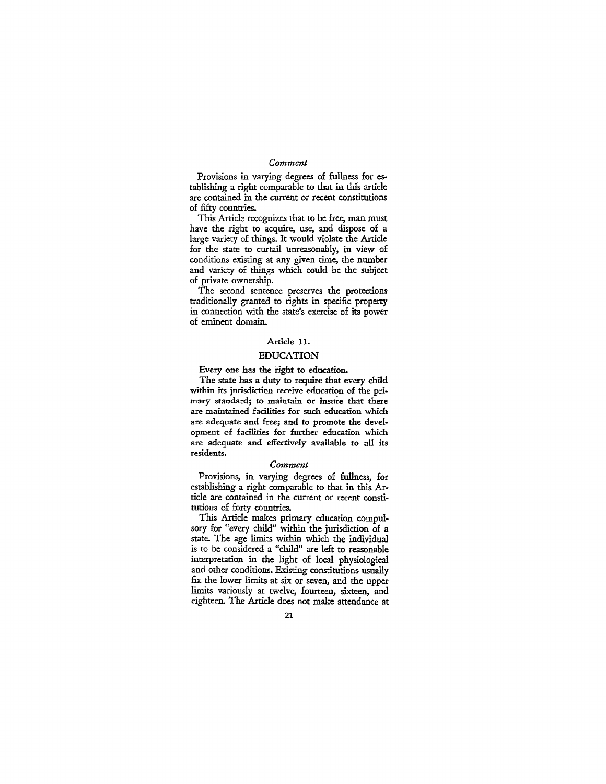#### *Comment*

Provisions in varying degrees of fullness for establishing a right comparable to that in this article are contained in the current or recent constitutions of **fifty** countries.

This Article recognizes that to be free, man must have the right to acquire, use, and dispose of a large variety of things. It would violate the Article for the state to curtail unreasonably, in view of conditions existing at any given time, the number and variety of things which could be the subject of private ownership.

The second sentence preserves the protections traditionally granted to rights in specific property in connection with the state's exercise of its power of eminent domain.

## Article **11.**

#### EDUCATION

Every one has the right to education.

The state has a duty to require that every child within its jurisdiction receive education of the primary standard; to maintain or insure that there are maintained facilities for such education which are adequate and free; and to promote the development of fadlities for further education which are adequate and effectively available to all **its** residents.

#### *Comment*

Provisions, in varying degrees of fullness, for establishing a right comparable to that in this Article are contained in the current or recent constitutions of forty countries.

This Article makes primary education compulsory for "every child" within the jurisdiction of a state. The age limits within which the individual is to be considered a "child" are left to reasonable interpretation in the light of local physiological and other conditions. Existing constitutions usually fix the lower limits at six or seven, and the upper limits variously at twelve, fourteen, sixteen, and eighteen. The Article does not make attendance at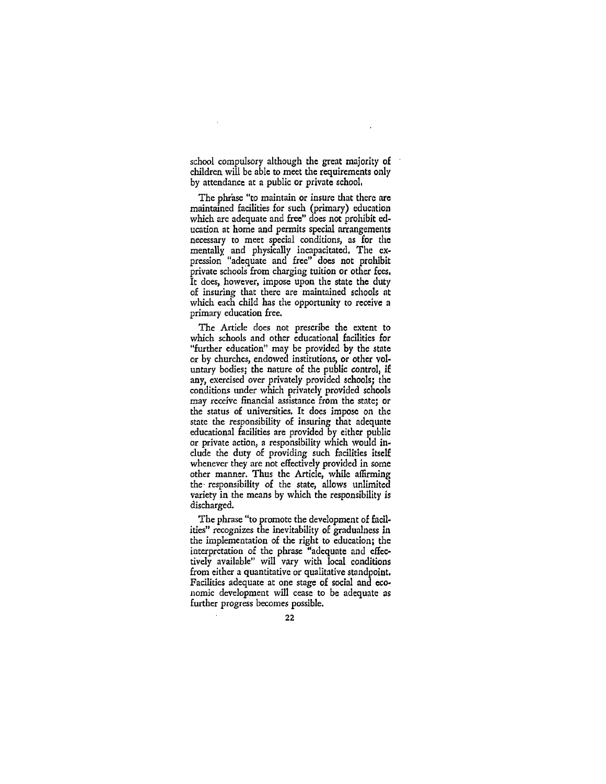school compulsory although the great majority of children will be able to meet the requirements only **by** attendance at a public or private school.

The phrase "to maintain or insure that there are maintained facilities for such (primary) education which **are** adequate and free" does not prohibit **ed**ucation at home and permits special arrangements necessary to meet special conditions, as for the mentally and physically incapacitated. The **ex**pression "adequate and free" does not prohibit private schools from charging tuition or *other fees,* It does, however, impose upon the state the duty of insuring that there are maintained schools **tt** which each child has the opportunity to receive a primary education free.

The Article does not prescribe the extent to which schools and other educational facilities for "further education" may be provided by the state or **by** churches, endowed institutions, or other voluntary bodies; the nature of the public control, if any, exercised over privately provided schools; the conditions under which privately provided schools may receive financial assistance from the state; or the status of universities. It does impose on the state the responsibility of insuring that adequate educational facilities are provided by either public or private action, a responsibility which would include the duty of providing such facilities itself whenever they are not effectively provided in some other manner. Thus the Article, while affirming the, responsibility of the state, allows unlimited variety in the means by which the responsibility is discharged.

The phrase "to promote the development of facilities" recognizes the inevitability of gradualness in the implementation of the right to education; the interpretation of the phrase "adequate and effectively available" will vary with local conditions from either a quantitative or qualitative standpoint. Facilities adequate at one stage of social and **eco**nomic development will cease to be adequate as further progress becomes possible.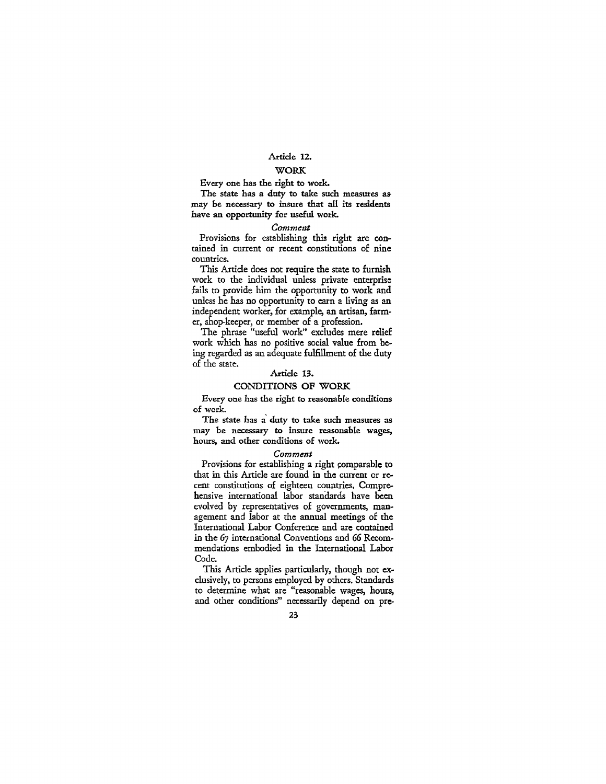# Article 12.

# WORK

Every one has the right to work.

The state has a duty to take such measures as may be necessary to insure that all its residents have an opportunity for useful work.

#### *Comment*

Provisions for establishing this right are contained in current or recent constitutions of nine countries.

This Article does not require the state to furnish work to the individual unless private enterprise fails to provide him the opportunity to work and unless he has no opportunity to earn a living as an independent worker, for example, an artisan, farmer, shop-keeper, or member of a profession.

The phrase "useful work" excludes mere relief work which has no positive social value from being regarded as an adequate fulfillment of the duty of the state.

#### Article 13.

#### CONDITIONS OF WORK

Every one has the right to reasonable conditions of work.

The state has a duty to take such measures as may be necessary to insure reasonable wages, hours, and other conditions of work.

#### *Comment*

Provisions for establishing a right comparable to that in this Article are found in the current or recent constitutions of eighteen countries. Comprehensive international labor standards have been evolved by representatives of governments, management and labor at the annual meetings of the International Labor Conference and are contained in the **67** international Conventions and 66 Recommendations embodied in the International Labor Code.

This Article applies particularly, though not exclusively, to persons employed by others. Standards to determine what are "reasonable wages, hours, and other conditions" necessarily depend on pre-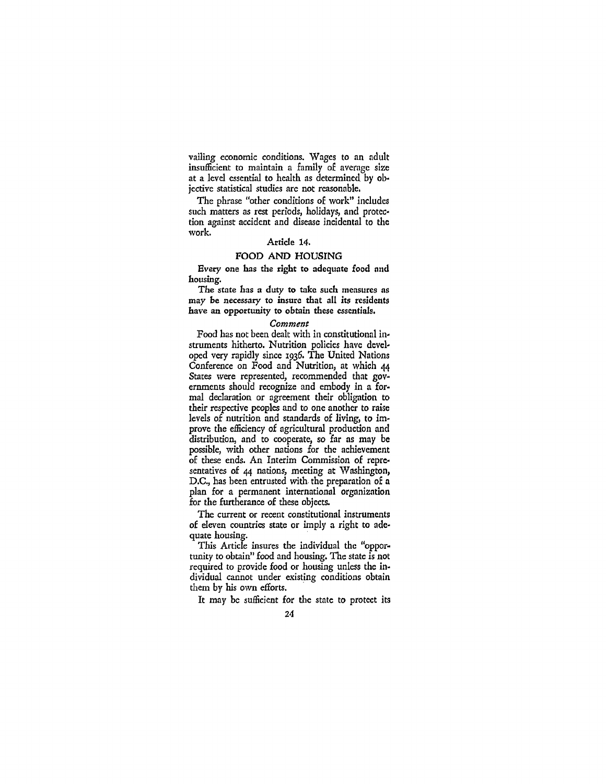vailing economic conditions. Wages to an adult insufficient to maintain a family of average **size** at a level essential to health as determined **by** objective statistical studies are not reasonable.

The phrase "other conditions of work" includes such matters as rest periods, holidays, and protection against accident and disease incidental to the work.

# Article **14.**

#### FOOD **AND** HOUSING

Every one has the right to adequate food and housing.

The state has a duty to take such measures as may be necessary to insure that all its residents have an opportunity to obtain these essentials.

#### *Comment*

Food has not been dealt with in constitutional **in**struments hitherto. Nutrition policies have developed very rapidly since 1936. The United Nations Conference on Food and Nutrition, at which 44 States were represented, recommended that governments should recognize and embody in a formal declaration or agreement their obligation to their respective peoples and to one another to raise levels of nutrition and standards of living, to **im**prove the efficiency of agricultural production and distribution, and to cooperate, so far as may be possible, with other nations for the achievement of these ends. An Interim Commission of representatives of 44 nations, meeting at Washington, **D.C.,** has been entrusted with the preparation of a plan for a permanent international organization for the furtherance of these objects.

The current or recent constitutional instruments of eleven countries state or imply a right to **ade**quate housing.

This Article insures the individual the "opportunity to obtain" food and housing. The state is not required to provide food or housing unless the **in**dividual cannot under existing conditions obtain them by his own efforts.

It may be sufficient for the state to protect its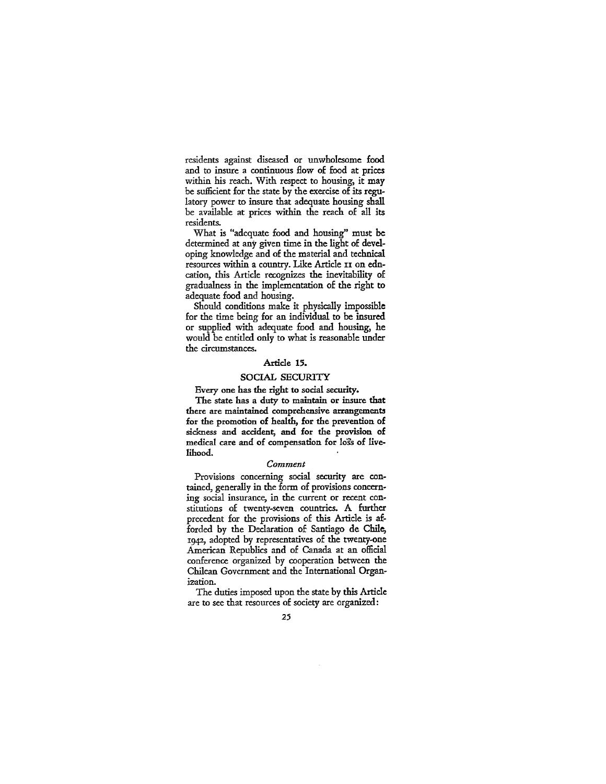residents against diseased or unwholesome food and to insure a continuous flow of food at prices within his reach. With respect to housing, it may be sufficient for the state by the exercise of its regulatory power to insure that adequate housing shall be available at prices within the reach of all its residents.

What is "adequate food and housing" must be determined at any given time in the light of developing knowledge and of the material and technical resources within a country. Like Article **ii** on education, this Article recognizes the inevitability of gradualness in the implementation of the right to adequate food and housing.

Should conditions make it physically impossible for the time being for an individual to be insured or supplied with adequate food and housing, he would be entitled only to what is reasonable under the circumstances.

#### Artide **15.**

# **SOCIAL SECURITY**

**Every one** has **the** right **to** social security.

The state has a duty to maintain or insure that there are maintained comprehensive arrangements for the promotion of health, for the prevention of **sickness and accident, and for the provision of** medical care and of compensation for loss of livelihood.

#### *Comment*

Provisions concerning social security are contained, generally in the form of provisions concerning social insurance, in the current or recent constitutions of twenty-seven countries. A further precedent for the provisions of this Article is afforded by the Declaration of Santiago de Chile, 1942, adopted by representatives of the twenty-one American Republics and of Canada at an official conference organized by cooperation between the Chilean Government and the International Organization.

The duties imposed upon the state by this Article are to see that resources of society are organized: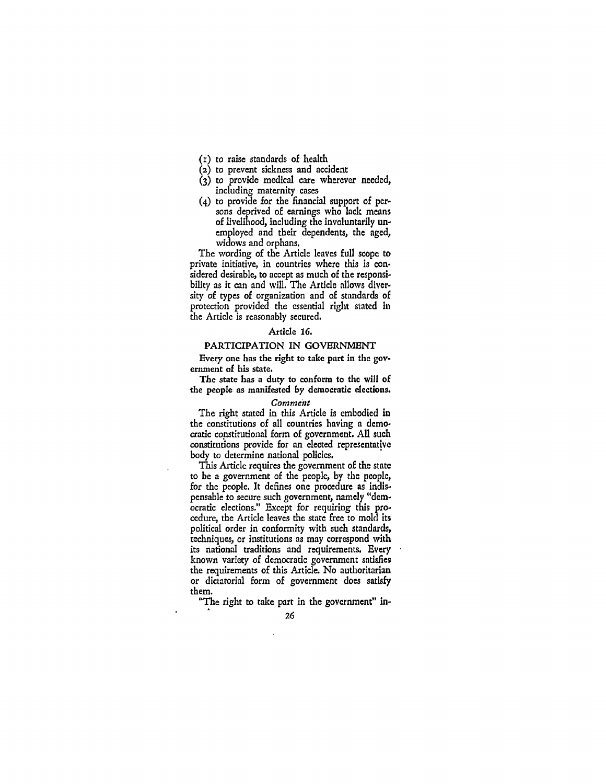- **(i)** to raise standards of health
- **(2)** to prevent sickness and accident
- **(3)** to provide medical care wherever needed, including maternity cases
- **(4)** to provide for the financial support of persons deprived of earnings who lack means of livelihood, including the involuntarily unemployed and their dependents, the aged, widows and orphans.

The wording of the Article leaves full scope to private initiative, in countries where this is considered desirable, to accept as much of the responsibility as it can and will. The Article allows diversity of types of organization and of standards of protection provided the essential right stated in the Article is reasonably secured.

#### Article **16.**

# PARTICIPATION IN **GOVERNMENT**

Every one has the right to take part in the government of his state.

The state has a duty to conform to the will of the people as manifested **by** democratic elections.

#### *Comment*

The right stated in this Article is embodied in the constitutions of all countries having a democratic constitutional form of government. All such constitutions provide for an elected representative body to determine national policies.

This Article requires the government of the state to be a government of the people, by the people, for the people. It defines one procedure as indispensable to secure such government, namely "democratic elections." Except for requiring this procedure, the Article leaves the state free to mold its political order in conformity with such standards, techniques, or institutions as may correspond with its national traditions and requirements. Every known variety of democratic government satisfies the requirements of this Article. No authoritarian or dictatorial form of government does satisfy them.

"The right to take part in the government" in-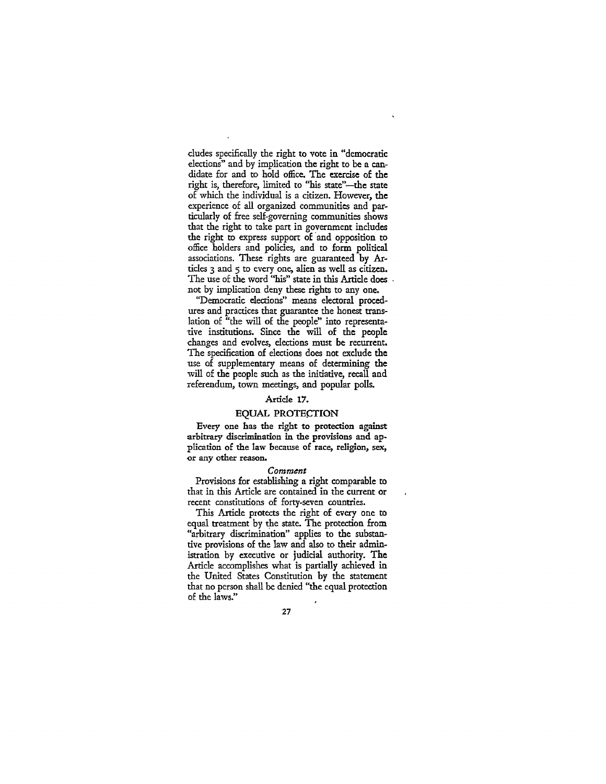cludes specifically the right to vote in "democratic elections" and by implication the right to be a candidate for and to hold office. The exercise of the right is, therefore, limited to "his state"-the state of which the individual is a citizen. However, the experience of all organized communities and particularly of free self-governing communities shows that the right to take part in government includes the right to express support of and opposition to office holders and policies, and to form political associations. These rights are guaranteed by Artides 3 and 5 to every one, alien as well as citizen. The use of the word "his' state in this Article does not by implication deny these rights to any one.

"Democratic elections" means electoral procedures and practices that guarantee the honest translation of "the will of the people" into representative institutions. Since the will of the people changes and evolves, elections must be recurrent. The specification of elections does not exclude the use of supplementary means of determining the will of the people such as the initiative, recall and referendum, town meetings, and popular polls.

# **Article 17.**

## **EQUAL** PROTECTION

Every one has the right to protection against arbitrary discrimination in the provisions and application of the law because of race, religion, sex, or any other reason.

#### *Comment*

Provisions for establishing a right comparable to that in this Article are contained in the current or recent constitutions of forty-seven countries.

This Article protects the right of every one to equal treatment by the state. The protection from "arbitrary discrimination" applies to the substantive provisions of the law and also to their administration by executive or judicial authority. The Article accomplishes what is partially achieved in the United States Constitution by the statement that no person shall be denied "the equal protection of the laws."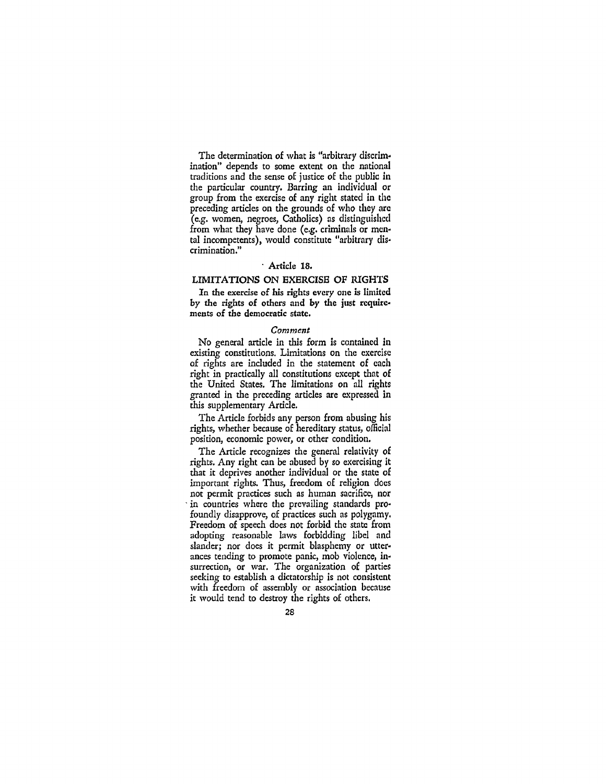The determination of what is "arbitrary discrimination" depends to some extent on the national traditions and the sense of justice of the public in the particular country. Barring an individual or group from the exercise of any right stated in the preceding articles on the grounds of who they arc (e.g. women, negroes, Catholics) as distinguished from what they have done (e.g. criminals or mental incompetents), would constitute "arbitrary discrimination."

#### Article 18.

# **LIMITATIONS** ON EXERCISE OF RIGHTS

.In the exercise **of** his rights every one is limited by the rights of others and **by** the just rcquirements of the democratic state.

#### *Comment*

No general article in this form is contained in existing constitutions. Limitations on the exercise of rights are included in the statement of each right in practically all constitutions except that of the United States. The limitations on all rights granted in the preceding articles are expressed in this supplementary Article.

The Article forbids any person from abusing his rights, whether because of hereditary status, official position, economic power, or other condition.

The Article recognizes the general relativity of rights. Any right can be abused by so exercising it that it deprives another individual or the state of important rights. Thus, freedom of religion does not permit practices such as human sacrifice, nor in countries where the prevailing standards profoundly disapprove, of practices such as polygamy. Freedom of speech does not forbid the state from adopting reasonable laws forbidding libel and slander; nor does it permit blasphemy or utterances tending to promote panic, mob violence, insurrection, or war. The organization of parties seeking to establish a dictatorship is not consistent with freedom of assembly or association because it would tend to destroy the rights of others.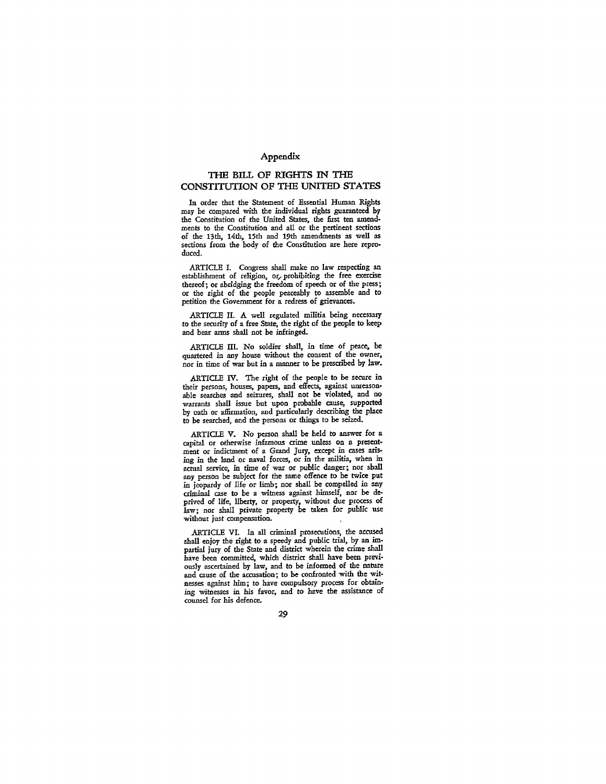# Appendix

# THE BILL OF RIGHTS IN THE CONSTITUTION OF THE **UNITED STATES**

In order that the Statement of Essential Human Rights may be compared with the individual rights guaranteed **by** the Constitution of the United States, the first ten amendments to the Constitution and all or the pertinent sections of the 13th, 14th, 15th and 19th amendments as well as sections from the body of the Constitution are here reproduced.

ARTICLE **I.** Congress shall make no law respecting an establishment of religion, or, prohibiting the free exercise thereof; or abridging the freedom of speech or of the press; or the right of the people peaceably to assemble and to petition the Government for a redress of grievances.

ARTICLE **11.** A well regulated militia being necessary to the security of a free State, the right of the people to keep and bear arms shall not be infringed.

ARTICLE **Ill.** No soldier shall, in time of peace, be quartered in any house without the consent of the owner, nor in time of war but in a manner to be prescribed by law.

ARTICLE IV. The right of the people to be secure in their persons, houses, papers, and effects, against unreasonable searches and seizures, shall not be violated, and no warrants shall issue but upon probable cause, supported by oath or affirmation, and particularly describing the place to be searched, and the persons or things to be seized.

ARTICLE V. No person shall be held to answer for a capital or otherwise infamous crime unless on a presentmeat or indictment of a Grand Jury, except in cases arising in the land or naval forces, or in the militia, when in actual service, in time of war or public danger; nor shall any person be subject for the same offence to be twice put in jeopardy of life or limb; nor shall be compelled in any criminal case to be a witness against himself, nor be deprived of life, liberty, or property, without due process of law; nor shall private property be taken for public use without just compensation.

ARTICLE VI. In **all** criminal prosecutions, the accused shall enjoy the right to a speedy and public trial, by an impartial jury of the State and district wherein the crime shall have been committed, which district shall have been previously ascertained by law, and to be informed of the nature and cause of the accusation; to be confronted with the witnesses against him; to have compulsory process for obtaining witnesses in his favor, and to have the assistance of counsel for his defence.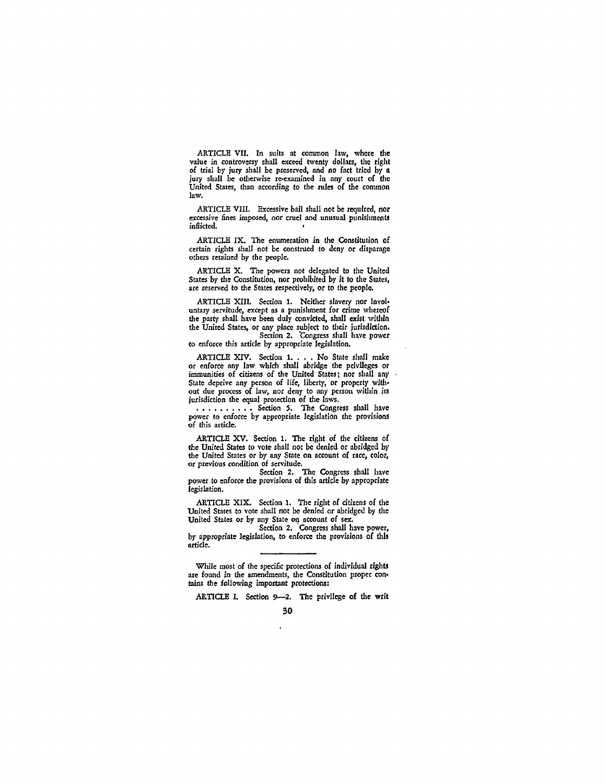ARTICLE **VII.** In suits at common law, where the value in controversy shall exceed twenty dollars, the right of trial **by** jury shall be preserved, and no fact tried by **a** jury shall be otherwise re-examined **in** any court of the United States, than according to the rules of the common law.

ARTICLE VIII. Excessive bail shall not be required, nor excessive fines imposed, nor cruel and unusual punishments inflicted.

ARTICLE IX. The enumeration in the Constitution of certain rights shall not be construed to deny or disparage others retained by the people.

ARTICLE X. The powers not **delegated** to the United States **by** the Constitution, nor prohibited **by** it to the States, are reserved to the States respectively, or to the people.

ARTICLE XIII. Section **1.** Neither slavery nor Invol. untary servitude, except as a punishment for crime whereof the party shall have been duly convicted, shall exist within the United States, or any place subject to their jurisdiction. Section **2.** 'Congress shall have power

to enforce this article by appropriate legislation.

ARTICLE XIV. Section 1. . . . No State shall make<br>or enforce any law which shall abridge the privileges or immunities of citizens of the United States; nor shall any State deprive any person of life, liberty, or property without due process of law, nor deny to any person within its jurisdiction the equal protection of the laws, **..........** Section **5.** The Congress shall have

power to enforce **by** appropriate legislation the provisions of this artde.

ARTICLE XV. Section **1.** The right of the citizens of the United States to vote shall not **be** denied or abridged by the United States or **by** any State on account of race, color, **or** previous condition of servitude.

Section 2. The Congress shall have power to enforce the provisions of this article by appropriate legislation.

ARTICLE XIX. Section **1.** The right of citizens of the United States to vote shall not be denied or abridged **by** the United States or **by** any State **oi** account of sex, Section 2. Congress shall have power,

**by** appropriate legislation, to enforce the provisions of this article.

While most of the specific protections of Individual rights are found in the amendments, the Constitution proper con tains the following important protections:

ARTICLE **I.** Section **9-2.** The privilege of the writ